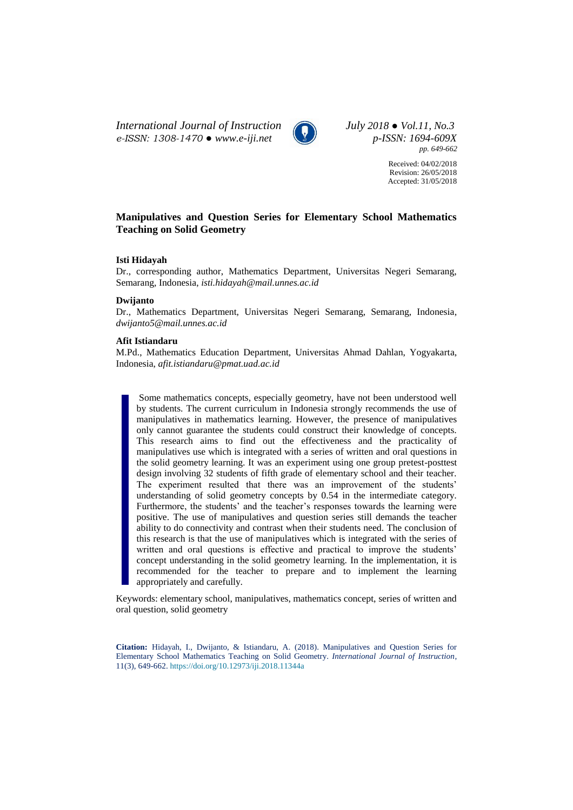*International Journal of Instruction July 2018 ● Vol.11, No.3 e-ISSN: 1308-1470 ● [www.e-iji.net](http://www.e-iji.net/) p-ISSN: 1694-609X*



*pp. 649-662*

Received: 04/02/2018 Revision: 26/05/2018 Accepted: 31/05/2018

# **Manipulatives and Question Series for Elementary School Mathematics Teaching on Solid Geometry**

### **Isti Hidayah**

Dr., corresponding author, Mathematics Department, Universitas Negeri Semarang, Semarang, Indonesia, *isti.hidayah@mail.unnes.ac.id*

#### **Dwijanto**

Dr., Mathematics Department, Universitas Negeri Semarang, Semarang, Indonesia, *dwijanto5@mail.unnes.ac.id*

# **Afit Istiandaru**

M.Pd., Mathematics Education Department, Universitas Ahmad Dahlan, Yogyakarta, Indonesia, *afit.istiandaru@pmat.uad.ac.id*

Some mathematics concepts, especially geometry, have not been understood well by students. The current curriculum in Indonesia strongly recommends the use of manipulatives in mathematics learning. However, the presence of manipulatives only cannot guarantee the students could construct their knowledge of concepts. This research aims to find out the effectiveness and the practicality of manipulatives use which is integrated with a series of written and oral questions in the solid geometry learning. It was an experiment using one group pretest-posttest design involving 32 students of fifth grade of elementary school and their teacher. The experiment resulted that there was an improvement of the students' understanding of solid geometry concepts by 0.54 in the intermediate category. Furthermore, the students' and the teacher's responses towards the learning were positive. The use of manipulatives and question series still demands the teacher ability to do connectivity and contrast when their students need. The conclusion of this research is that the use of manipulatives which is integrated with the series of written and oral questions is effective and practical to improve the students' concept understanding in the solid geometry learning. In the implementation, it is recommended for the teacher to prepare and to implement the learning appropriately and carefully.

Keywords: elementary school, manipulatives, mathematics concept, series of written and oral question, solid geometry

**Citation:** Hidayah, I., Dwijanto, & Istiandaru, A. (2018). Manipulatives and Question Series for Elementary School Mathematics Teaching on Solid Geometry. *International Journal of Instruction*, 11(3), 649-662. <https://doi.org/10.12973/iji.2018.11344a>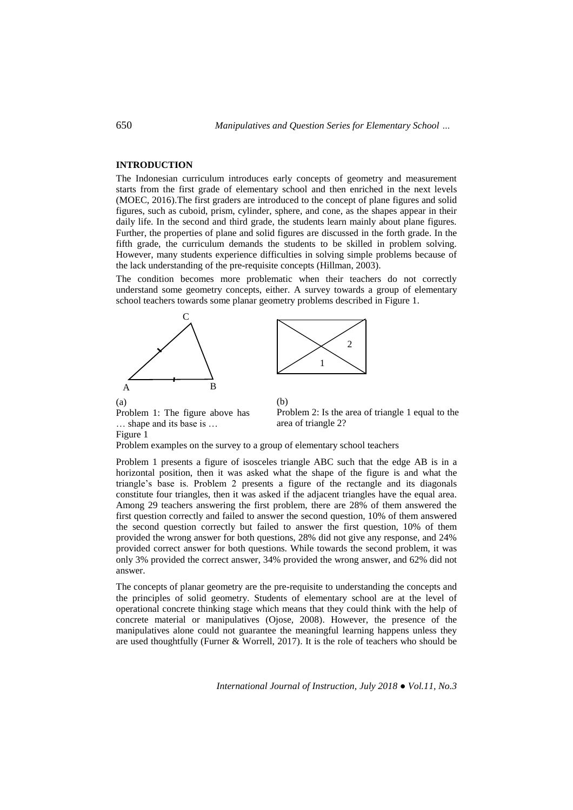## **INTRODUCTION**

The Indonesian curriculum introduces early concepts of geometry and measurement starts from the first grade of elementary school and then enriched in the next levels (MOEC, 2016).The first graders are introduced to the concept of plane figures and solid figures, such as cuboid, prism, cylinder, sphere, and cone, as the shapes appear in their daily life. In the second and third grade, the students learn mainly about plane figures. Further, the properties of plane and solid figures are discussed in the forth grade. In the fifth grade, the curriculum demands the students to be skilled in problem solving. However, many students experience difficulties in solving simple problems because of the lack understanding of the pre-requisite concepts (Hillman, 2003).

The condition becomes more problematic when their teachers do not correctly understand some geometry concepts, either. A survey towards a group of elementary school teachers towards some planar geometry problems described in Figure 1.

(b)





Problem 1: The figure above has … shape and its base is … Figure 1

Problem 2: Is the area of triangle 1 equal to the area of triangle 2?

Problem examples on the survey to a group of elementary school teachers

Problem 1 presents a figure of isosceles triangle ABC such that the edge AB is in a horizontal position, then it was asked what the shape of the figure is and what the triangle's base is. Problem 2 presents a figure of the rectangle and its diagonals constitute four triangles, then it was asked if the adjacent triangles have the equal area. Among 29 teachers answering the first problem, there are 28% of them answered the first question correctly and failed to answer the second question, 10% of them answered the second question correctly but failed to answer the first question, 10% of them provided the wrong answer for both questions, 28% did not give any response, and 24% provided correct answer for both questions. While towards the second problem, it was only 3% provided the correct answer, 34% provided the wrong answer, and 62% did not answer.

The concepts of planar geometry are the pre-requisite to understanding the concepts and the principles of solid geometry. Students of elementary school are at the level of operational concrete thinking stage which means that they could think with the help of concrete material or manipulatives (Ojose, 2008). However, the presence of the manipulatives alone could not guarantee the meaningful learning happens unless they are used thoughtfully (Furner & Worrell, 2017). It is the role of teachers who should be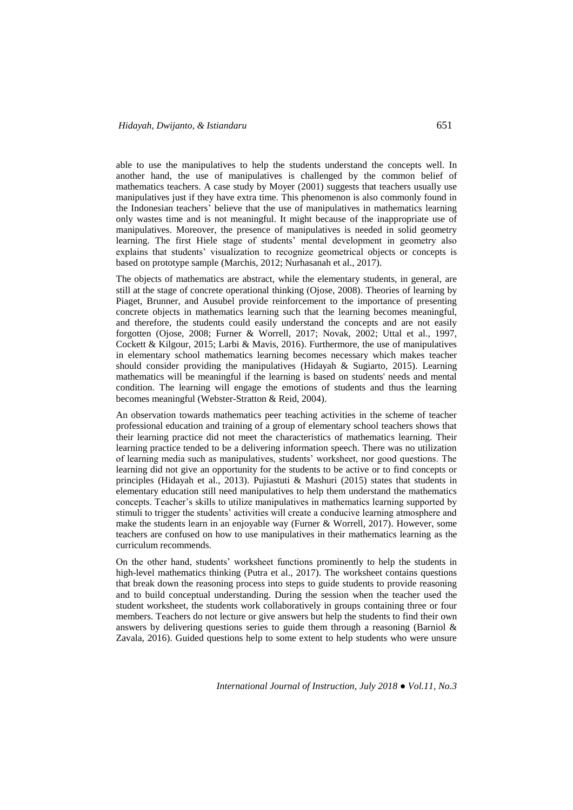able to use the manipulatives to help the students understand the concepts well. In another hand, the use of manipulatives is challenged by the common belief of mathematics teachers. A case study by Moyer (2001) suggests that teachers usually use manipulatives just if they have extra time. This phenomenon is also commonly found in the Indonesian teachers' believe that the use of manipulatives in mathematics learning only wastes time and is not meaningful. It might because of the inappropriate use of manipulatives. Moreover, the presence of manipulatives is needed in solid geometry learning. The first Hiele stage of students' mental development in geometry also explains that students' visualization to recognize geometrical objects or concepts is based on prototype sample (Marchis, 2012; Nurhasanah et al., 2017).

The objects of mathematics are abstract, while the elementary students, in general, are still at the stage of concrete operational thinking (Ojose, 2008). Theories of learning by Piaget, Brunner, and Ausubel provide reinforcement to the importance of presenting concrete objects in mathematics learning such that the learning becomes meaningful, and therefore, the students could easily understand the concepts and are not easily forgotten (Ojose, 2008; Furner & Worrell, 2017; Novak, 2002; Uttal et al., 1997, Cockett & Kilgour, 2015; Larbi & Mavis, 2016). Furthermore, the use of manipulatives in elementary school mathematics learning becomes necessary which makes teacher should consider providing the manipulatives (Hidayah & Sugiarto, 2015). Learning mathematics will be meaningful if the learning is based on students' needs and mental condition. The learning will engage the emotions of students and thus the learning becomes meaningful (Webster-Stratton & Reid, 2004).

An observation towards mathematics peer teaching activities in the scheme of teacher professional education and training of a group of elementary school teachers shows that their learning practice did not meet the characteristics of mathematics learning. Their learning practice tended to be a delivering information speech. There was no utilization of learning media such as manipulatives, students' worksheet, nor good questions. The learning did not give an opportunity for the students to be active or to find concepts or principles (Hidayah et al., 2013). Pujiastuti & Mashuri (2015) states that students in elementary education still need manipulatives to help them understand the mathematics concepts. Teacher's skills to utilize manipulatives in mathematics learning supported by stimuli to trigger the students' activities will create a conducive learning atmosphere and make the students learn in an enjoyable way (Furner & Worrell, 2017). However, some teachers are confused on how to use manipulatives in their mathematics learning as the curriculum recommends.

On the other hand, students' worksheet functions prominently to help the students in high-level mathematics thinking (Putra et al., 2017). The worksheet contains questions that break down the reasoning process into steps to guide students to provide reasoning and to build conceptual understanding. During the session when the teacher used the student worksheet, the students work collaboratively in groups containing three or four members. Teachers do not lecture or give answers but help the students to find their own answers by delivering questions series to guide them through a reasoning (Barniol & Zavala, 2016). Guided questions help to some extent to help students who were unsure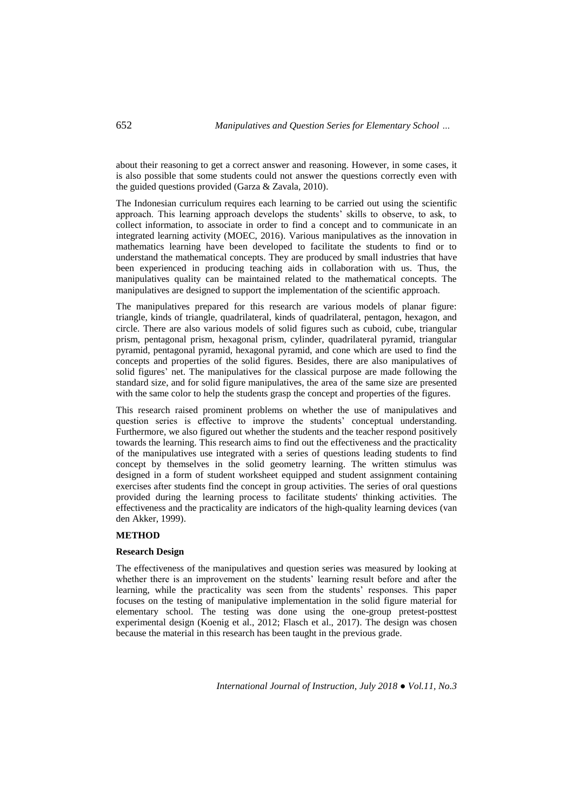about their reasoning to get a correct answer and reasoning. However, in some cases, it is also possible that some students could not answer the questions correctly even with the guided questions provided (Garza & Zavala, 2010).

The Indonesian curriculum requires each learning to be carried out using the scientific approach. This learning approach develops the students' skills to observe, to ask, to collect information, to associate in order to find a concept and to communicate in an integrated learning activity (MOEC, 2016). Various manipulatives as the innovation in mathematics learning have been developed to facilitate the students to find or to understand the mathematical concepts. They are produced by small industries that have been experienced in producing teaching aids in collaboration with us. Thus, the manipulatives quality can be maintained related to the mathematical concepts. The manipulatives are designed to support the implementation of the scientific approach.

The manipulatives prepared for this research are various models of planar figure: triangle, kinds of triangle, quadrilateral, kinds of quadrilateral, pentagon, hexagon, and circle. There are also various models of solid figures such as cuboid, cube, triangular prism, pentagonal prism, hexagonal prism, cylinder, quadrilateral pyramid, triangular pyramid, pentagonal pyramid, hexagonal pyramid, and cone which are used to find the concepts and properties of the solid figures. Besides, there are also manipulatives of solid figures' net. The manipulatives for the classical purpose are made following the standard size, and for solid figure manipulatives, the area of the same size are presented with the same color to help the students grasp the concept and properties of the figures.

This research raised prominent problems on whether the use of manipulatives and question series is effective to improve the students' conceptual understanding. Furthermore, we also figured out whether the students and the teacher respond positively towards the learning. This research aims to find out the effectiveness and the practicality of the manipulatives use integrated with a series of questions leading students to find concept by themselves in the solid geometry learning. The written stimulus was designed in a form of student worksheet equipped and student assignment containing exercises after students find the concept in group activities. The series of oral questions provided during the learning process to facilitate students' thinking activities. The effectiveness and the practicality are indicators of the high-quality learning devices (van den Akker, 1999).

## **METHOD**

### **Research Design**

The effectiveness of the manipulatives and question series was measured by looking at whether there is an improvement on the students' learning result before and after the learning, while the practicality was seen from the students' responses. This paper focuses on the testing of manipulative implementation in the solid figure material for elementary school. The testing was done using the one-group pretest-posttest experimental design (Koenig et al., 2012; Flasch et al., 2017). The design was chosen because the material in this research has been taught in the previous grade.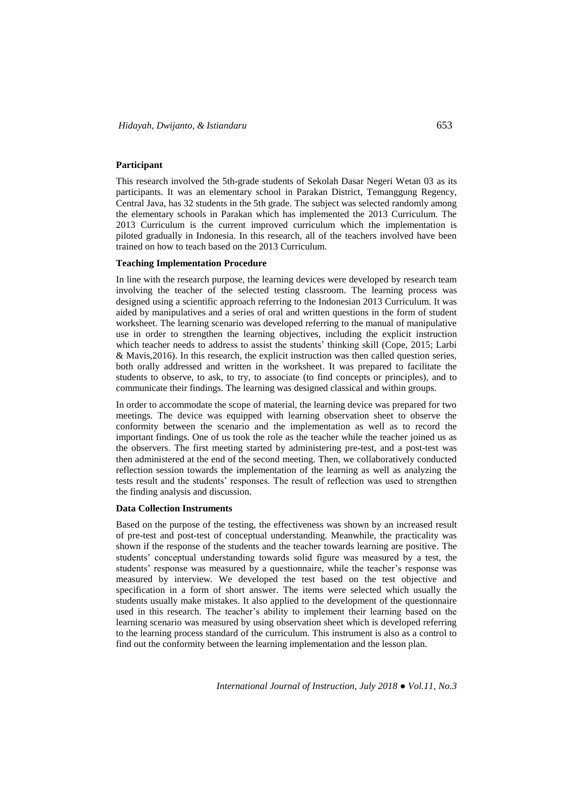## **Participant**

This research involved the 5th-grade students of Sekolah Dasar Negeri Wetan 03 as its participants. It was an elementary school in Parakan District, Temanggung Regency, Central Java, has 32 students in the 5th grade. The subject was selected randomly among the elementary schools in Parakan which has implemented the 2013 Curriculum. The 2013 Curriculum is the current improved curriculum which the implementation is piloted gradually in Indonesia. In this research, all of the teachers involved have been trained on how to teach based on the 2013 Curriculum.

#### **Teaching Implementation Procedure**

In line with the research purpose, the learning devices were developed by research team involving the teacher of the selected testing classroom. The learning process was designed using a scientific approach referring to the Indonesian 2013 Curriculum. It was aided by manipulatives and a series of oral and written questions in the form of student worksheet. The learning scenario was developed referring to the manual of manipulative use in order to strengthen the learning objectives, including the explicit instruction which teacher needs to address to assist the students' thinking skill (Cope, 2015; Larbi & Mavis,2016). In this research, the explicit instruction was then called question series, both orally addressed and written in the worksheet. It was prepared to facilitate the students to observe, to ask, to try, to associate (to find concepts or principles), and to communicate their findings. The learning was designed classical and within groups.

In order to accommodate the scope of material, the learning device was prepared for two meetings. The device was equipped with learning observation sheet to observe the conformity between the scenario and the implementation as well as to record the important findings. One of us took the role as the teacher while the teacher joined us as the observers. The first meeting started by administering pre-test, and a post-test was then administered at the end of the second meeting. Then, we collaboratively conducted reflection session towards the implementation of the learning as well as analyzing the tests result and the students' responses. The result of reflection was used to strengthen the finding analysis and discussion.

#### **Data Collection Instruments**

Based on the purpose of the testing, the effectiveness was shown by an increased result of pre-test and post-test of conceptual understanding. Meanwhile, the practicality was shown if the response of the students and the teacher towards learning are positive. The students' conceptual understanding towards solid figure was measured by a test, the students' response was measured by a questionnaire, while the teacher's response was measured by interview. We developed the test based on the test objective and specification in a form of short answer. The items were selected which usually the students usually make mistakes. It also applied to the development of the questionnaire used in this research. The teacher's ability to implement their learning based on the learning scenario was measured by using observation sheet which is developed referring to the learning process standard of the curriculum. This instrument is also as a control to find out the conformity between the learning implementation and the lesson plan.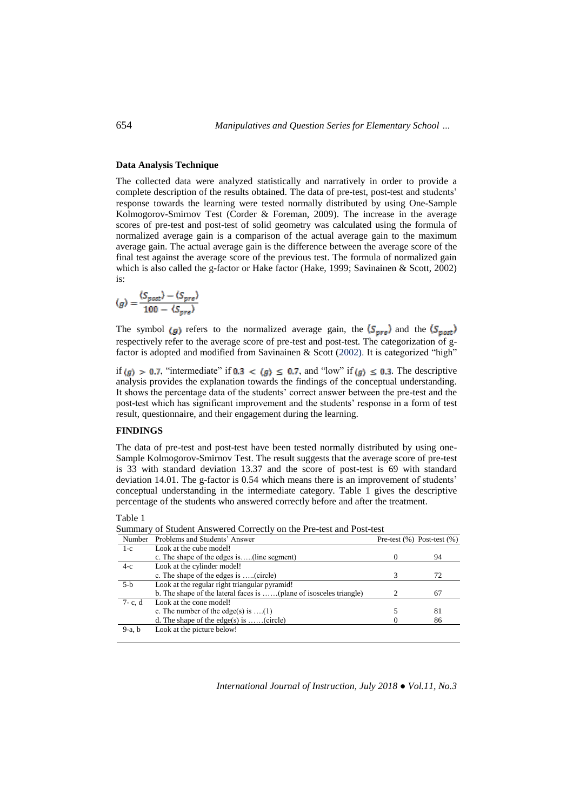### **Data Analysis Technique**

The collected data were analyzed statistically and narratively in order to provide a complete description of the results obtained. The data of pre-test, post-test and students' response towards the learning were tested normally distributed by using One-Sample Kolmogorov-Smirnov Test (Corder & Foreman, 2009). The increase in the average scores of pre-test and post-test of solid geometry was calculated using the formula of normalized average gain is a comparison of the actual average gain to the maximum average gain. The actual average gain is the difference between the average score of the final test against the average score of the previous test. The formula of normalized gain which is also called the g-factor or Hake factor (Hake, 1999; Savinainen & Scott, 2002) is:

$$
\langle g \rangle = \frac{\langle S_{post} \rangle - \langle S_{pre} \rangle}{100 - \langle S_{pre} \rangle}
$$

The symbol  $\langle g \rangle$  refers to the normalized average gain, the  $\langle S_{pre} \rangle$  and the  $\langle S_{post} \rangle$ respectively refer to the average score of pre-test and post-test. The categorization of gfactor is adopted and modified from Savinainen & Scott (2002). It is categorized "high"

if  $\langle g \rangle > 0.7$ , "intermediate" if  $0.3 < \langle g \rangle \le 0.7$ , and "low" if  $\langle g \rangle \le 0.3$ . The descriptive analysis provides the explanation towards the findings of the conceptual understanding. It shows the percentage data of the students' correct answer between the pre-test and the post-test which has significant improvement and the students' response in a form of test result, questionnaire, and their engagement during the learning.

## **FINDINGS**

The data of pre-test and post-test have been tested normally distributed by using one-Sample Kolmogorov-Smirnov Test. The result suggests that the average score of pre-test is 33 with standard deviation 13.37 and the score of post-test is 69 with standard deviation 14.01. The g-factor is 0.54 which means there is an improvement of students' conceptual understanding in the intermediate category. Table 1 gives the descriptive percentage of the students who answered correctly before and after the treatment.

Table 1

Summary of Student Answered Correctly on the Pre-test and Post-test

| Number      | Problems and Students' Answer                                      | Pre-test $(\%)$ Post-test $(\%)$ |
|-------------|--------------------------------------------------------------------|----------------------------------|
| $1-c$       | Look at the cube model!                                            |                                  |
|             | c. The shape of the edges is(line segment)                         | 94                               |
| $4-c$       | Look at the cylinder model!                                        |                                  |
|             | c. The shape of the edges is (circle)                              | 72                               |
| $5-b$       | Look at the regular right triangular pyramid!                      |                                  |
|             | b. The shape of the lateral faces is (plane of isosceles triangle) | 67                               |
| $7 - c$ , d | Look at the cone model!                                            |                                  |
|             | c. The number of the edge(s) is $\dots(1)$                         | 81                               |
|             | d. The shape of the edge(s) is (circle)                            | 86                               |
| $9-a$ , b   | Look at the picture below!                                         |                                  |
|             |                                                                    |                                  |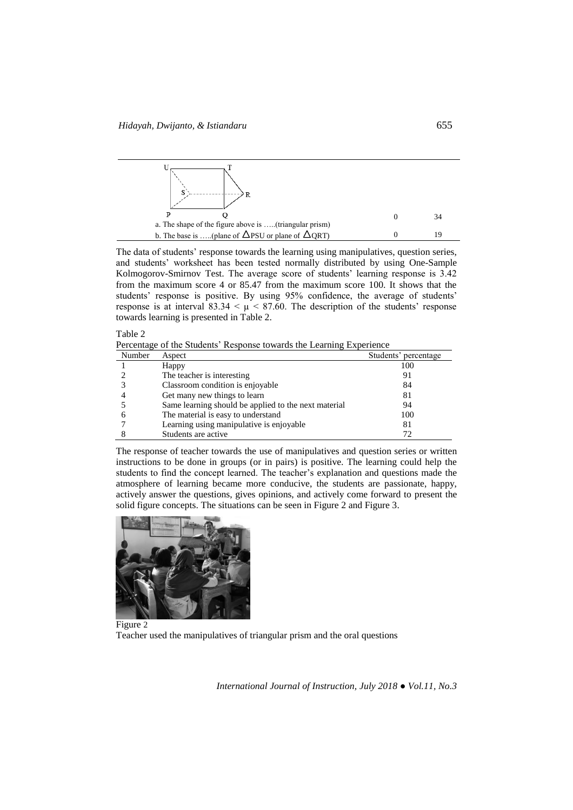

The data of students' response towards the learning using manipulatives, question series, and students' worksheet has been tested normally distributed by using One-Sample Kolmogorov-Smirnov Test. The average score of students' learning response is 3.42 from the maximum score 4 or 85.47 from the maximum score 100. It shows that the students' response is positive. By using 95% confidence, the average of students' response is at interval  $83.34 < \mu < 87.60$ . The description of the students' response towards learning is presented in Table 2.

#### Table 2

Percentage of the Students' Response towards the Learning Experience

| Number | Aspect                                               | Students' percentage |
|--------|------------------------------------------------------|----------------------|
|        | Happy                                                | 100                  |
|        | The teacher is interesting.                          | 91                   |
|        | Classroom condition is enjoyable                     | 84                   |
|        | Get many new things to learn                         | 81                   |
|        | Same learning should be applied to the next material | 94                   |
|        | The material is easy to understand                   | 100                  |
|        | Learning using manipulative is enjoyable             | 81                   |
|        | Students are active                                  |                      |

The response of teacher towards the use of manipulatives and question series or written instructions to be done in groups (or in pairs) is positive. The learning could help the students to find the concept learned. The teacher's explanation and questions made the atmosphere of learning became more conducive, the students are passionate, happy, actively answer the questions, gives opinions, and actively come forward to present the solid figure concepts. The situations can be seen in Figure 2 and Figure 3.



Figure 2 Teacher used the manipulatives of triangular prism and the oral questions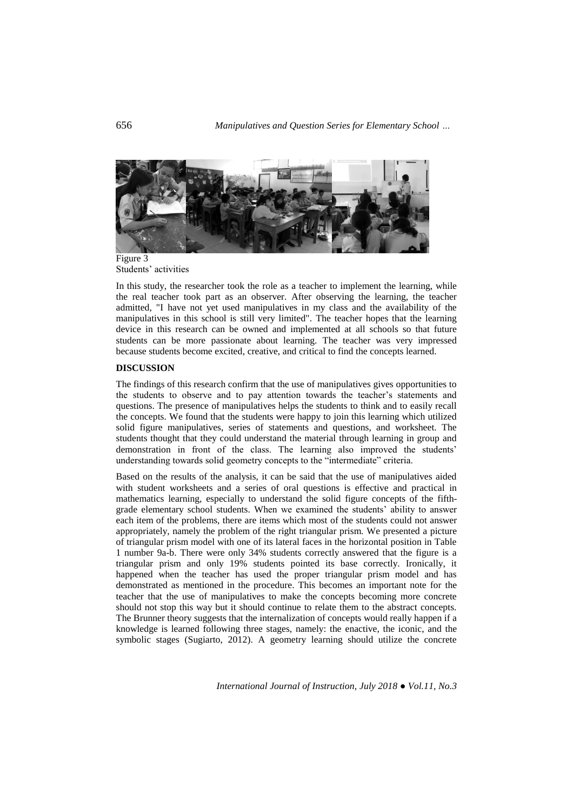

Students' activities

In this study, the researcher took the role as a teacher to implement the learning, while the real teacher took part as an observer. After observing the learning, the teacher admitted, "I have not yet used manipulatives in my class and the availability of the manipulatives in this school is still very limited". The teacher hopes that the learning device in this research can be owned and implemented at all schools so that future students can be more passionate about learning. The teacher was very impressed because students become excited, creative, and critical to find the concepts learned.

## **DISCUSSION**

The findings of this research confirm that the use of manipulatives gives opportunities to the students to observe and to pay attention towards the teacher's statements and questions. The presence of manipulatives helps the students to think and to easily recall the concepts. We found that the students were happy to join this learning which utilized solid figure manipulatives, series of statements and questions, and worksheet. The students thought that they could understand the material through learning in group and demonstration in front of the class. The learning also improved the students' understanding towards solid geometry concepts to the "intermediate" criteria.

Based on the results of the analysis, it can be said that the use of manipulatives aided with student worksheets and a series of oral questions is effective and practical in mathematics learning, especially to understand the solid figure concepts of the fifthgrade elementary school students. When we examined the students' ability to answer each item of the problems, there are items which most of the students could not answer appropriately, namely the problem of the right triangular prism. We presented a picture of triangular prism model with one of its lateral faces in the horizontal position in Table 1 number 9a-b. There were only 34% students correctly answered that the figure is a triangular prism and only 19% students pointed its base correctly. Ironically, it happened when the teacher has used the proper triangular prism model and has demonstrated as mentioned in the procedure. This becomes an important note for the teacher that the use of manipulatives to make the concepts becoming more concrete should not stop this way but it should continue to relate them to the abstract concepts. The Brunner theory suggests that the internalization of concepts would really happen if a knowledge is learned following three stages, namely: the enactive, the iconic, and the symbolic stages (Sugiarto, 2012). A geometry learning should utilize the concrete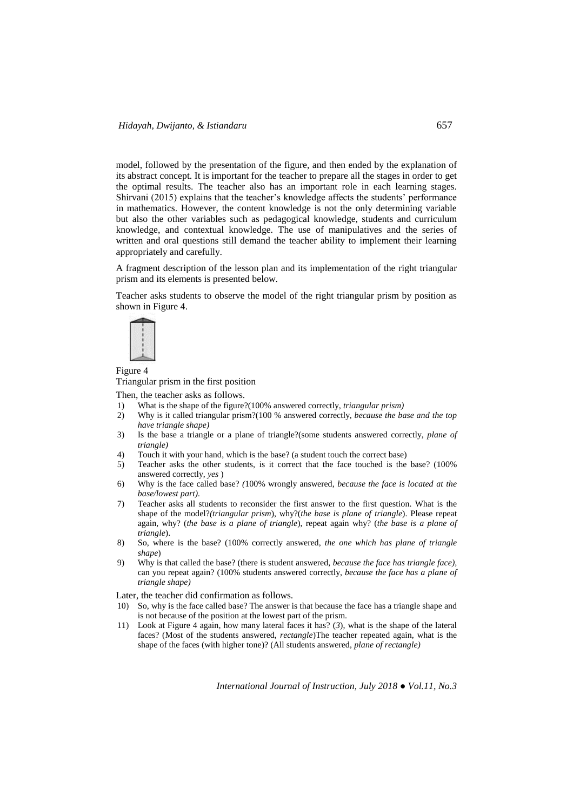model, followed by the presentation of the figure, and then ended by the explanation of its abstract concept. It is important for the teacher to prepare all the stages in order to get the optimal results. The teacher also has an important role in each learning stages. Shirvani (2015) explains that the teacher's knowledge affects the students' performance in mathematics. However, the content knowledge is not the only determining variable but also the other variables such as pedagogical knowledge, students and curriculum knowledge, and contextual knowledge. The use of manipulatives and the series of written and oral questions still demand the teacher ability to implement their learning appropriately and carefully.

A fragment description of the lesson plan and its implementation of the right triangular prism and its elements is presented below.

Teacher asks students to observe the model of the right triangular prism by position as shown in Figure 4.



Figure 4

Triangular prism in the first position

Then, the teacher asks as follows.

- 1) What is the shape of the figure?(100% answered correctly, *triangular prism*)<br>2) Why is it called triangular prism?(100 % answered correctly, *because the bo*
- 2) Why is it called triangular prism?(100 % answered correctly, *because the base and the top have triangle shape)*
- 3) Is the base a triangle or a plane of triangle?(some students answered correctly, *plane of triangle)*
- 4) Touch it with your hand, which is the base? (a student touch the correct base)
- 5) Teacher asks the other students, is it correct that the face touched is the base? (100% answered correctly, *yes* )
- 6) Why is the face called base? *(*100% wrongly answered, *because the face is located at the base/lowest part).*
- 7) Teacher asks all students to reconsider the first answer to the first question. What is the shape of the model?*(triangular prism*), why?(*the base is plane of triangle*). Please repeat again, why? (*the base is a plane of triangle*), repeat again why? (*the base is a plane of triangle*).
- 8) So, where is the base? (100% correctly answered, *the one which has plane of triangle shape*)
- 9) Why is that called the base? (there is student answered, *because the face has triangle face),*  can you repeat again? (100% students answered correctly, *because the face has a plane of triangle shape)*

Later, the teacher did confirmation as follows.

- 10) So, why is the face called base? The answer is that because the face has a triangle shape and is not because of the position at the lowest part of the prism.
- 11) Look at Figure 4 again, how many lateral faces it has? (*3*), what is the shape of the lateral faces? (Most of the students answered, *rectangle*)The teacher repeated again, what is the shape of the faces (with higher tone)? (All students answered, *plane of rectangle)*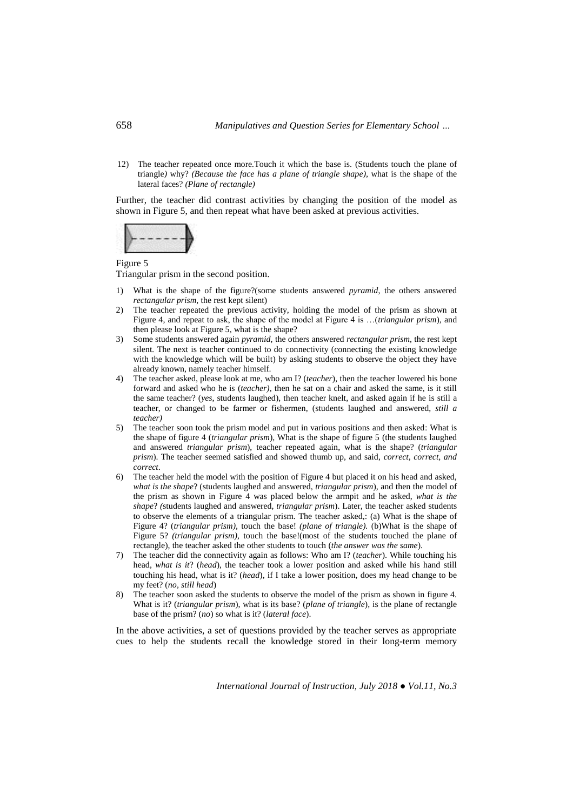12) The teacher repeated once more*.*Touch it which the base is. (Students touch the plane of triangle*)* why? *(Because the face has a plane of triangle shape),* what is the shape of the lateral faces? *(Plane of rectangle)*

Further, the teacher did contrast activities by changing the position of the model as shown in Figure 5, and then repeat what have been asked at previous activities.



#### Figure 5

Triangular prism in the second position.

- 1) What is the shape of the figure?(some students answered *pyramid*, the others answered *rectangular prism*, the rest kept silent)
- 2) The teacher repeated the previous activity, holding the model of the prism as shown at Figure 4, and repeat to ask, the shape of the model at Figure 4 is …(*triangular prism*), and then please look at Figure 5, what is the shape?
- 3) Some students answered again *pyramid*, the others answered *rectangular prism*, the rest kept silent*.* The next is teacher continued to do connectivity (connecting the existing knowledge with the knowledge which will be built) by asking students to observe the object they have already known, namely teacher himself.
- 4) The teacher asked, please look at me, who am I? (*teacher*), then the teacher lowered his bone forward and asked who he is (*teacher),* then he sat on a chair and asked the same, is it still the same teacher? (*yes*, students laughed), then teacher knelt, and asked again if he is still a teacher, or changed to be farmer or fishermen, (students laughed and answered, *still a teacher)*
- 5) The teacher soon took the prism model and put in various positions and then asked: What is the shape of figure 4 (*triangular prism*), What is the shape of figure 5 (the students laughed and answered *triangular prism*), teacher repeated again, what is the shape? (*triangular prism*). The teacher seemed satisfied and showed thumb up, and said, *correct, correct, and correct*.
- 6) The teacher held the model with the position of Figure 4 but placed it on his head and asked, *what is the shape*? (students laughed and answered, *triangular prism*), and then the model of the prism as shown in Figure 4 was placed below the armpit and he asked, *what is the shape*? *(*students laughed and answered, *triangular prism*). Later, the teacher asked students to observe the elements of a triangular prism. The teacher asked,: (a) What is the shape of Figure 4? (*triangular prism),* touch the base! *(plane of triangle).* (b)What is the shape of Figure 5? *(triangular prism),* touch the base!(most of the students touched the plane of rectangle), the teacher asked the other students to touch (*the answer was the same*).
- 7) The teacher did the connectivity again as follows: Who am I? (*teacher*). While touching his head, *what is it*? (*head*), the teacher took a lower position and asked while his hand still touching his head, what is it? (*head*), if I take a lower position, does my head change to be my feet? (*no, still head*)
- 8) The teacher soon asked the students to observe the model of the prism as shown in figure 4. What is it? (*triangular prism*), what is its base? (*plane of triangle*), is the plane of rectangle base of the prism? (*no*) so what is it? (*lateral face*).

In the above activities, a set of questions provided by the teacher serves as appropriate cues to help the students recall the knowledge stored in their long-term memory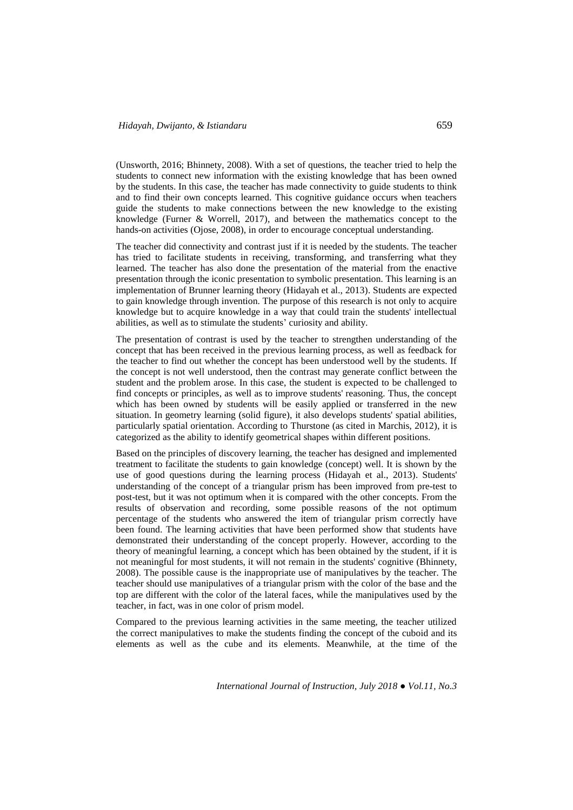(Unsworth, 2016; Bhinnety, 2008). With a set of questions, the teacher tried to help the students to connect new information with the existing knowledge that has been owned by the students. In this case, the teacher has made connectivity to guide students to think and to find their own concepts learned. This cognitive guidance occurs when teachers guide the students to make connections between the new knowledge to the existing knowledge (Furner & Worrell, 2017), and between the mathematics concept to the hands-on activities (Ojose, 2008), in order to encourage conceptual understanding.

The teacher did connectivity and contrast just if it is needed by the students. The teacher has tried to facilitate students in receiving, transforming, and transferring what they learned. The teacher has also done the presentation of the material from the enactive presentation through the iconic presentation to symbolic presentation. This learning is an implementation of Brunner learning theory (Hidayah et al., 2013). Students are expected to gain knowledge through invention. The purpose of this research is not only to acquire knowledge but to acquire knowledge in a way that could train the students' intellectual abilities, as well as to stimulate the students' curiosity and ability.

The presentation of contrast is used by the teacher to strengthen understanding of the concept that has been received in the previous learning process, as well as feedback for the teacher to find out whether the concept has been understood well by the students. If the concept is not well understood, then the contrast may generate conflict between the student and the problem arose. In this case, the student is expected to be challenged to find concepts or principles, as well as to improve students' reasoning. Thus, the concept which has been owned by students will be easily applied or transferred in the new situation. In geometry learning (solid figure), it also develops students' spatial abilities, particularly spatial orientation. According to Thurstone (as cited in Marchis, 2012), it is categorized as the ability to identify geometrical shapes within different positions.

Based on the principles of discovery learning, the teacher has designed and implemented treatment to facilitate the students to gain knowledge (concept) well. It is shown by the use of good questions during the learning process (Hidayah et al., 2013). Students' understanding of the concept of a triangular prism has been improved from pre-test to post-test, but it was not optimum when it is compared with the other concepts. From the results of observation and recording, some possible reasons of the not optimum percentage of the students who answered the item of triangular prism correctly have been found. The learning activities that have been performed show that students have demonstrated their understanding of the concept properly. However, according to the theory of meaningful learning, a concept which has been obtained by the student, if it is not meaningful for most students, it will not remain in the students' cognitive (Bhinnety, 2008). The possible cause is the inappropriate use of manipulatives by the teacher. The teacher should use manipulatives of a triangular prism with the color of the base and the top are different with the color of the lateral faces, while the manipulatives used by the teacher, in fact, was in one color of prism model.

Compared to the previous learning activities in the same meeting, the teacher utilized the correct manipulatives to make the students finding the concept of the cuboid and its elements as well as the cube and its elements. Meanwhile, at the time of the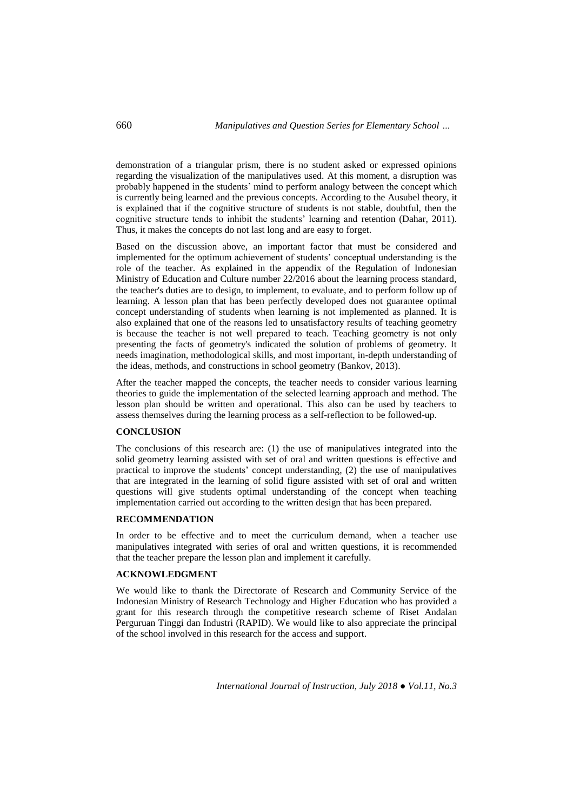demonstration of a triangular prism, there is no student asked or expressed opinions regarding the visualization of the manipulatives used. At this moment, a disruption was probably happened in the students' mind to perform analogy between the concept which is currently being learned and the previous concepts. According to the Ausubel theory, it is explained that if the cognitive structure of students is not stable, doubtful, then the cognitive structure tends to inhibit the students' learning and retention (Dahar, 2011). Thus, it makes the concepts do not last long and are easy to forget.

Based on the discussion above, an important factor that must be considered and implemented for the optimum achievement of students' conceptual understanding is the role of the teacher. As explained in the appendix of the Regulation of Indonesian Ministry of Education and Culture number 22/2016 about the learning process standard, the teacher's duties are to design, to implement, to evaluate, and to perform follow up of learning. A lesson plan that has been perfectly developed does not guarantee optimal concept understanding of students when learning is not implemented as planned. It is also explained that one of the reasons led to unsatisfactory results of teaching geometry is because the teacher is not well prepared to teach. Teaching geometry is not only presenting the facts of geometry's indicated the solution of problems of geometry. It needs imagination, methodological skills, and most important, in-depth understanding of the ideas, methods, and constructions in school geometry (Bankov, 2013).

After the teacher mapped the concepts, the teacher needs to consider various learning theories to guide the implementation of the selected learning approach and method. The lesson plan should be written and operational. This also can be used by teachers to assess themselves during the learning process as a self-reflection to be followed-up.

#### **CONCLUSION**

The conclusions of this research are: (1) the use of manipulatives integrated into the solid geometry learning assisted with set of oral and written questions is effective and practical to improve the students' concept understanding, (2) the use of manipulatives that are integrated in the learning of solid figure assisted with set of oral and written questions will give students optimal understanding of the concept when teaching implementation carried out according to the written design that has been prepared.

#### **RECOMMENDATION**

In order to be effective and to meet the curriculum demand, when a teacher use manipulatives integrated with series of oral and written questions, it is recommended that the teacher prepare the lesson plan and implement it carefully.

# **ACKNOWLEDGMENT**

We would like to thank the Directorate of Research and Community Service of the Indonesian Ministry of Research Technology and Higher Education who has provided a grant for this research through the competitive research scheme of Riset Andalan Perguruan Tinggi dan Industri (RAPID). We would like to also appreciate the principal of the school involved in this research for the access and support.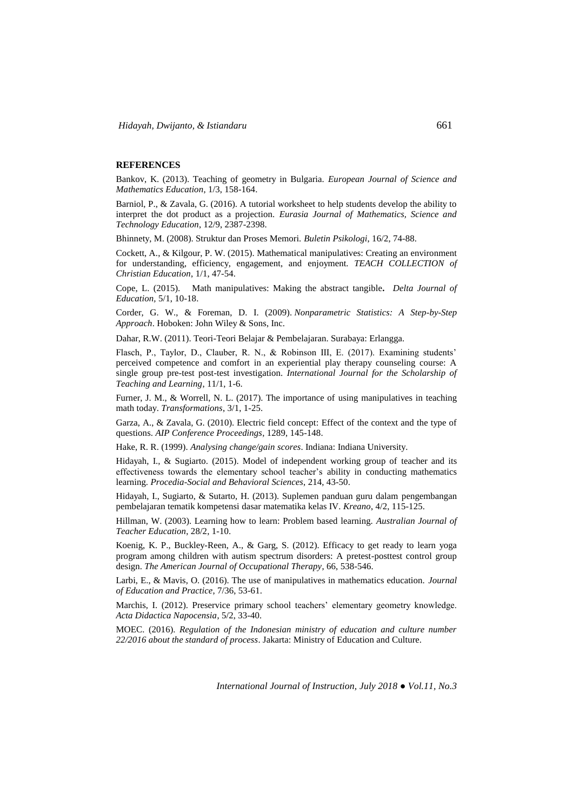### **REFERENCES**

Bankov, K. (2013). Teaching of geometry in Bulgaria. *European Journal of Science and Mathematics Education*, 1/3, 158-164.

Barniol, P., & Zavala, G. (2016). A tutorial worksheet to help students develop the ability to interpret the dot product as a projection. *Eurasia Journal of Mathematics, Science and Technology Education*, 12/9, 2387-2398.

Bhinnety, M. (2008). Struktur dan Proses Memori. *Buletin Psikologi*, 16/2, 74-88.

Cockett, A., & Kilgour, P. W. (2015). Mathematical manipulatives: Creating an environment for understanding, efficiency, engagement, and enjoyment. *TEACH COLLECTION of Christian Education*, 1/1, 47-54.

Cope, L. (2015). Math manipulatives: Making the abstract tangible**.** *Delta Journal of Education,* 5/1, 10-18.

Corder, G. W., & Foreman, D. I. (2009). *Nonparametric Statistics: A Step-by-Step Approach*. Hoboken: John Wiley & Sons, Inc.

Dahar, R.W. (2011). Teori-Teori Belajar & Pembelajaran. Surabaya: Erlangga.

Flasch, P., Taylor, D., Clauber, R. N., & Robinson III, E. (2017). Examining students' perceived competence and comfort in an experiential play therapy counseling course: A single group pre-test post-test investigation. *International Journal for the Scholarship of Teaching and Learning*, 11/1, 1-6.

Furner, J. M., & Worrell, N. L. (2017). The importance of using manipulatives in teaching math today. *Transformations*, 3/1, 1-25.

Garza, A., & Zavala, G. (2010). Electric field concept: Effect of the context and the type of questions. *AIP Conference Proceedings*, 1289, 145-148.

Hake, R. R. (1999). *Analysing change/gain scores*. Indiana: Indiana University.

Hidayah, I., & Sugiarto. (2015). Model of independent working group of teacher and its effectiveness towards the elementary school teacher's ability in conducting mathematics learning. *Procedia-Social and Behavioral Sciences*, 214, 43-50.

Hidayah, I., Sugiarto, & Sutarto, H. (2013). Suplemen panduan guru dalam pengembangan pembelajaran tematik kompetensi dasar matematika kelas IV. *Kreano*, 4/2, 115-125.

Hillman, W. (2003). Learning how to learn: Problem based learning. *Australian Journal of Teacher Education*, 28/2, 1-10.

Koenig, K. P., Buckley-Reen, A., & Garg, S. (2012). Efficacy to get ready to learn yoga program among children with autism spectrum disorders: A pretest-posttest control group design. *The American Journal of Occupational Therapy*, 66, 538-546.

Larbi, E., & Mavis, O. (2016). The use of manipulatives in mathematics education. *Journal of Education and Practice*, 7/36, 53-61.

Marchis, I. (2012). Preservice primary school teachers' elementary geometry knowledge. *Acta Didactica Napocensia*, 5/2, 33-40.

MOEC. (2016). *Regulation of the Indonesian ministry of education and culture number 22/2016 about the standard of process*. Jakarta: Ministry of Education and Culture.